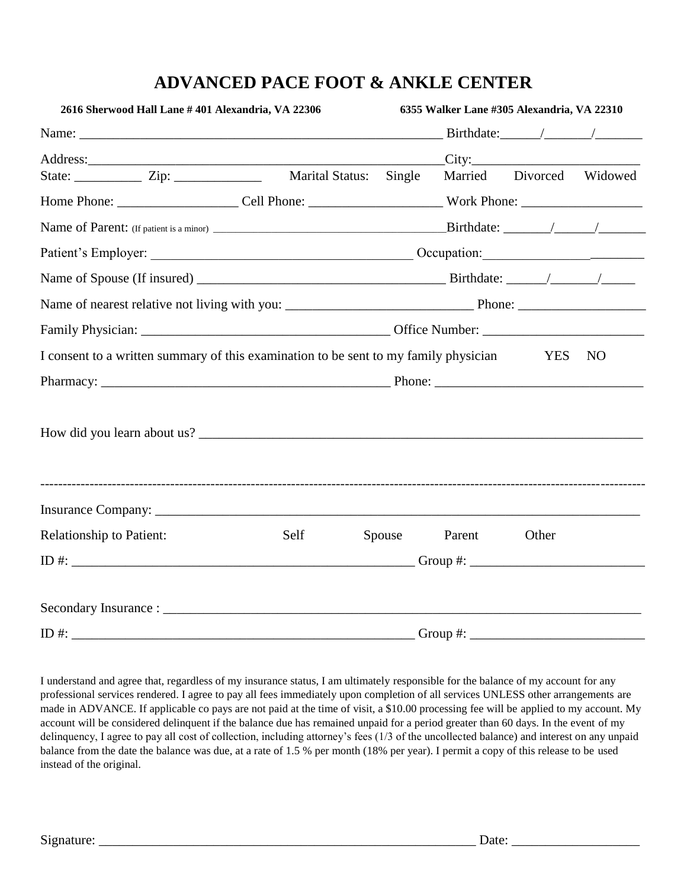## **ADVANCED PACE FOOT & ANKLE CENTER**

| 2616 Sherwood Hall Lane #401 Alexandria, VA 22306                                    |      |  | 6355 Walker Lane #305 Alexandria, VA 22310 |        |                          |  |  |
|--------------------------------------------------------------------------------------|------|--|--------------------------------------------|--------|--------------------------|--|--|
|                                                                                      |      |  |                                            |        | Birthdate: $\angle$      |  |  |
|                                                                                      |      |  |                                            |        |                          |  |  |
| State: _______________ Zip: ______________________ Marital Status: Single            |      |  |                                            |        | Married Divorced Widowed |  |  |
|                                                                                      |      |  |                                            |        |                          |  |  |
|                                                                                      |      |  |                                            |        |                          |  |  |
|                                                                                      |      |  |                                            |        |                          |  |  |
|                                                                                      |      |  |                                            |        |                          |  |  |
|                                                                                      |      |  |                                            |        |                          |  |  |
|                                                                                      |      |  |                                            |        |                          |  |  |
| I consent to a written summary of this examination to be sent to my family physician |      |  |                                            | YES NO |                          |  |  |
|                                                                                      |      |  |                                            |        |                          |  |  |
|                                                                                      |      |  |                                            |        |                          |  |  |
|                                                                                      |      |  |                                            |        |                          |  |  |
| <b>Relationship to Patient:</b>                                                      | Self |  | Spouse Parent                              | Other  |                          |  |  |
|                                                                                      |      |  |                                            |        |                          |  |  |
|                                                                                      |      |  |                                            |        |                          |  |  |
| $ID \#:$                                                                             |      |  | Group #: $\_\_\_\_\_\_\_\_\_\_\_\_$        |        |                          |  |  |

I understand and agree that, regardless of my insurance status, I am ultimately responsible for the balance of my account for any professional services rendered. I agree to pay all fees immediately upon completion of all services UNLESS other arrangements are made in ADVANCE. If applicable co pays are not paid at the time of visit, a \$10.00 processing fee will be applied to my account. My account will be considered delinquent if the balance due has remained unpaid for a period greater than 60 days. In the event of my delinquency, I agree to pay all cost of collection, including attorney's fees (1/3 of the uncollected balance) and interest on any unpaid balance from the date the balance was due, at a rate of 1.5 % per month (18% per year). I permit a copy of this release to be used instead of the original.